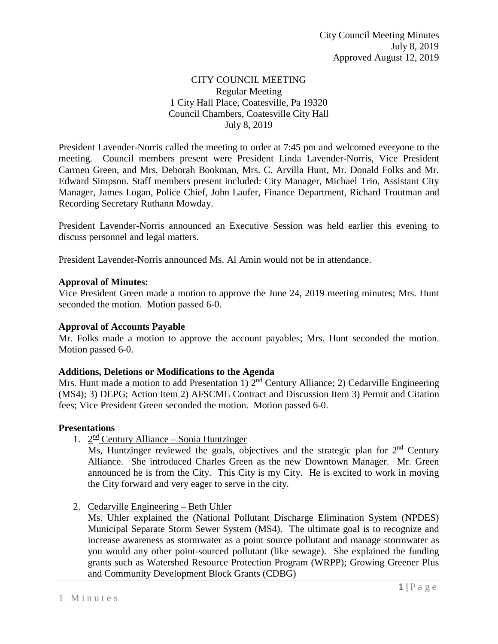### CITY COUNCIL MEETING Regular Meeting 1 City Hall Place, Coatesville, Pa 19320 Council Chambers, Coatesville City Hall July 8, 2019

President Lavender-Norris called the meeting to order at 7:45 pm and welcomed everyone to the meeting. Council members present were President Linda Lavender-Norris, Vice President Carmen Green, and Mrs. Deborah Bookman, Mrs. C. Arvilla Hunt, Mr. Donald Folks and Mr. Edward Simpson. Staff members present included: City Manager, Michael Trio, Assistant City Manager, James Logan, Police Chief, John Laufer, Finance Department, Richard Troutman and Recording Secretary Ruthann Mowday.

President Lavender-Norris announced an Executive Session was held earlier this evening to discuss personnel and legal matters.

President Lavender-Norris announced Ms. Al Amin would not be in attendance.

### **Approval of Minutes:**

Vice President Green made a motion to approve the June 24, 2019 meeting minutes; Mrs. Hunt seconded the motion. Motion passed 6-0.

### **Approval of Accounts Payable**

Mr. Folks made a motion to approve the account payables; Mrs. Hunt seconded the motion. Motion passed 6-0.

### **Additions, Deletions or Modifications to the Agenda**

Mrs. Hunt made a motion to add Presentation 1)  $2<sup>nd</sup>$  Century Alliance; 2) Cedarville Engineering (MS4); 3) DEPG; Action Item 2) AFSCME Contract and Discussion Item 3) Permit and Citation fees; Vice President Green seconded the motion. Motion passed 6-0.

### **Presentations**

1.  $2^{\text{nd}}$  Century Alliance – Sonia Huntzinger

Ms, Huntzinger reviewed the goals, objectives and the strategic plan for  $2<sup>nd</sup>$  Century Alliance. She introduced Charles Green as the new Downtown Manager. Mr. Green announced he is from the City. This City is my City. He is excited to work in moving the City forward and very eager to serve in the city.

2. Cedarville Engineering – Beth Uhler

Ms. Uhler explained the (National Pollutant Discharge Elimination System (NPDES) Municipal Separate Storm Sewer System (MS4). The ultimate goal is to recognize and increase awareness as stormwater as a point source pollutant and manage stormwater as you would any other point-sourced pollutant (like sewage). She explained the funding grants such as Watershed Resource Protection Program (WRPP); Growing Greener Plus and Community Development Block Grants (CDBG)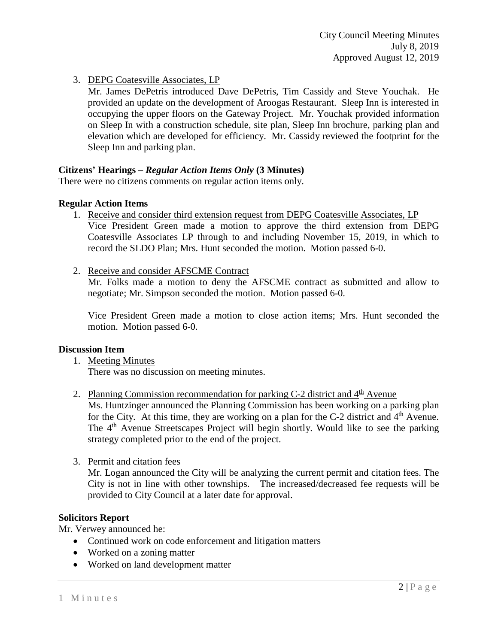## 3. DEPG Coatesville Associates, LP

Mr. James DePetris introduced Dave DePetris, Tim Cassidy and Steve Youchak. He provided an update on the development of Aroogas Restaurant. Sleep Inn is interested in occupying the upper floors on the Gateway Project. Mr. Youchak provided information on Sleep In with a construction schedule, site plan, Sleep Inn brochure, parking plan and elevation which are developed for efficiency. Mr. Cassidy reviewed the footprint for the Sleep Inn and parking plan.

### **Citizens' Hearings –** *Regular Action Items Only* **(3 Minutes)**

There were no citizens comments on regular action items only.

### **Regular Action Items**

- 1. Receive and consider third extension request from DEPG Coatesville Associates, LP Vice President Green made a motion to approve the third extension from DEPG Coatesville Associates LP through to and including November 15, 2019, in which to record the SLDO Plan; Mrs. Hunt seconded the motion. Motion passed 6-0.
- 2. Receive and consider AFSCME Contract

Mr. Folks made a motion to deny the AFSCME contract as submitted and allow to negotiate; Mr. Simpson seconded the motion. Motion passed 6-0.

Vice President Green made a motion to close action items; Mrs. Hunt seconded the motion. Motion passed 6-0.

### **Discussion Item**

- 1. Meeting Minutes There was no discussion on meeting minutes.
- 2. Planning Commission recommendation for parking C-2 district and  $4<sup>th</sup>$  Avenue

Ms. Huntzinger announced the Planning Commission has been working on a parking plan for the City. At this time, they are working on a plan for the  $C-2$  district and  $4<sup>th</sup>$  Avenue. The  $4<sup>th</sup>$  Avenue Streetscapes Project will begin shortly. Would like to see the parking strategy completed prior to the end of the project.

3. Permit and citation fees

Mr. Logan announced the City will be analyzing the current permit and citation fees. The City is not in line with other townships. The increased/decreased fee requests will be provided to City Council at a later date for approval.

### **Solicitors Report**

Mr. Verwey announced he:

- Continued work on code enforcement and litigation matters
- Worked on a zoning matter
- Worked on land development matter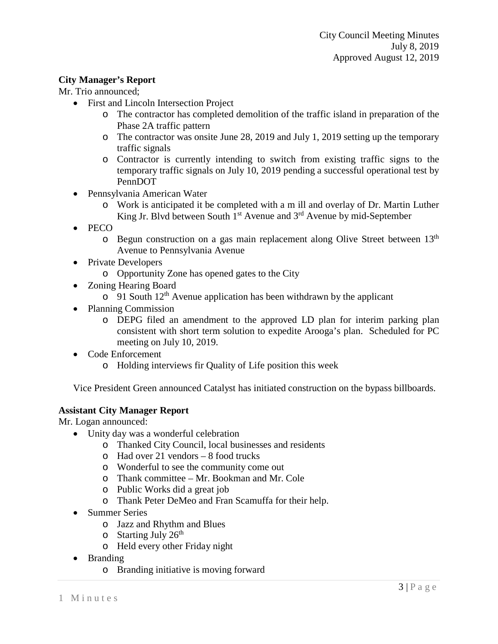### **City Manager's Report**

Mr. Trio announced;

- First and Lincoln Intersection Project
	- o The contractor has completed demolition of the traffic island in preparation of the Phase 2A traffic pattern
	- o The contractor was onsite June 28, 2019 and July 1, 2019 setting up the temporary traffic signals
	- o Contractor is currently intending to switch from existing traffic signs to the temporary traffic signals on July 10, 2019 pending a successful operational test by PennDOT
- Pennsylvania American Water
	- o Work is anticipated it be completed with a m ill and overlay of Dr. Martin Luther King Jr. Blvd between South  $1<sup>st</sup>$  Avenue and  $3<sup>rd</sup>$  Avenue by mid-September
- PECO
	- o Begun construction on a gas main replacement along Olive Street between 13th Avenue to Pennsylvania Avenue
- Private Developers
	- o Opportunity Zone has opened gates to the City
- Zoning Hearing Board
	- $\circ$  91 South 12<sup>th</sup> Avenue application has been withdrawn by the applicant
- Planning Commission
	- o DEPG filed an amendment to the approved LD plan for interim parking plan consistent with short term solution to expedite Arooga's plan. Scheduled for PC meeting on July 10, 2019.
- Code Enforcement
	- o Holding interviews fir Quality of Life position this week

Vice President Green announced Catalyst has initiated construction on the bypass billboards.

### **Assistant City Manager Report**

Mr. Logan announced:

- Unity day was a wonderful celebration
	- o Thanked City Council, local businesses and residents
	- o Had over 21 vendors 8 food trucks
	- o Wonderful to see the community come out
	- o Thank committee Mr. Bookman and Mr. Cole
	- o Public Works did a great job
	- o Thank Peter DeMeo and Fran Scamuffa for their help.
- Summer Series
	- o Jazz and Rhythm and Blues
	- $\circ$  Starting July 26<sup>th</sup>
	- o Held every other Friday night
- Branding
	- o Branding initiative is moving forward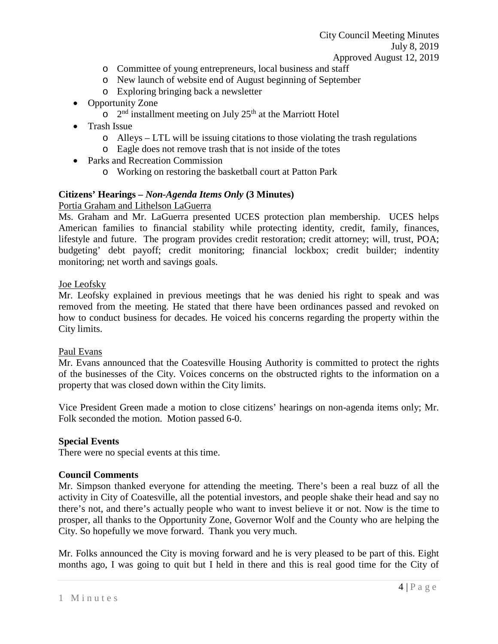City Council Meeting Minutes July 8, 2019 Approved August 12, 2019

- o Committee of young entrepreneurs, local business and staff
- o New launch of website end of August beginning of September
- o Exploring bringing back a newsletter
- Opportunity Zone
	- $\circ$  2<sup>nd</sup> installment meeting on July 25<sup>th</sup> at the Marriott Hotel
- Trash Issue
	- o Alleys LTL will be issuing citations to those violating the trash regulations
	- o Eagle does not remove trash that is not inside of the totes
- Parks and Recreation Commission
	- o Working on restoring the basketball court at Patton Park

### **Citizens' Hearings –** *Non-Agenda Items Only* **(3 Minutes)**

### Portia Graham and Lithelson LaGuerra

Ms. Graham and Mr. LaGuerra presented UCES protection plan membership. UCES helps American families to financial stability while protecting identity, credit, family, finances, lifestyle and future. The program provides credit restoration; credit attorney; will, trust, POA; budgeting' debt payoff; credit monitoring; financial lockbox; credit builder; indentity monitoring; net worth and savings goals.

### Joe Leofsky

Mr. Leofsky explained in previous meetings that he was denied his right to speak and was removed from the meeting. He stated that there have been ordinances passed and revoked on how to conduct business for decades. He voiced his concerns regarding the property within the City limits.

### Paul Evans

Mr. Evans announced that the Coatesville Housing Authority is committed to protect the rights of the businesses of the City. Voices concerns on the obstructed rights to the information on a property that was closed down within the City limits.

Vice President Green made a motion to close citizens' hearings on non-agenda items only; Mr. Folk seconded the motion. Motion passed 6-0.

### **Special Events**

There were no special events at this time.

### **Council Comments**

Mr. Simpson thanked everyone for attending the meeting. There's been a real buzz of all the activity in City of Coatesville, all the potential investors, and people shake their head and say no there's not, and there's actually people who want to invest believe it or not. Now is the time to prosper, all thanks to the Opportunity Zone, Governor Wolf and the County who are helping the City. So hopefully we move forward. Thank you very much.

Mr. Folks announced the City is moving forward and he is very pleased to be part of this. Eight months ago, I was going to quit but I held in there and this is real good time for the City of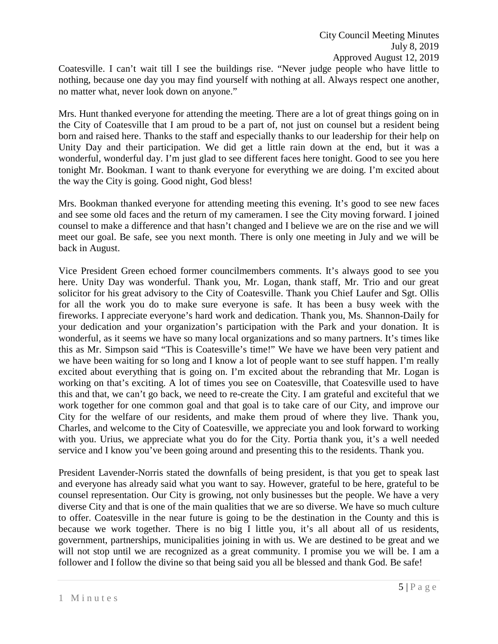Coatesville. I can't wait till I see the buildings rise. "Never judge people who have little to nothing, because one day you may find yourself with nothing at all. Always respect one another, no matter what, never look down on anyone."

Mrs. Hunt thanked everyone for attending the meeting. There are a lot of great things going on in the City of Coatesville that I am proud to be a part of, not just on counsel but a resident being born and raised here. Thanks to the staff and especially thanks to our leadership for their help on Unity Day and their participation. We did get a little rain down at the end, but it was a wonderful, wonderful day. I'm just glad to see different faces here tonight. Good to see you here tonight Mr. Bookman. I want to thank everyone for everything we are doing. I'm excited about the way the City is going. Good night, God bless!

Mrs. Bookman thanked everyone for attending meeting this evening. It's good to see new faces and see some old faces and the return of my cameramen. I see the City moving forward. I joined counsel to make a difference and that hasn't changed and I believe we are on the rise and we will meet our goal. Be safe, see you next month. There is only one meeting in July and we will be back in August.

Vice President Green echoed former councilmembers comments. It's always good to see you here. Unity Day was wonderful. Thank you, Mr. Logan, thank staff, Mr. Trio and our great solicitor for his great advisory to the City of Coatesville. Thank you Chief Laufer and Sgt. Ollis for all the work you do to make sure everyone is safe. It has been a busy week with the fireworks. I appreciate everyone's hard work and dedication. Thank you, Ms. Shannon-Daily for your dedication and your organization's participation with the Park and your donation. It is wonderful, as it seems we have so many local organizations and so many partners. It's times like this as Mr. Simpson said "This is Coatesville's time!" We have we have been very patient and we have been waiting for so long and I know a lot of people want to see stuff happen. I'm really excited about everything that is going on. I'm excited about the rebranding that Mr. Logan is working on that's exciting. A lot of times you see on Coatesville, that Coatesville used to have this and that, we can't go back, we need to re-create the City. I am grateful and exciteful that we work together for one common goal and that goal is to take care of our City, and improve our City for the welfare of our residents, and make them proud of where they live. Thank you, Charles, and welcome to the City of Coatesville, we appreciate you and look forward to working with you. Urius, we appreciate what you do for the City. Portia thank you, it's a well needed service and I know you've been going around and presenting this to the residents. Thank you.

President Lavender-Norris stated the downfalls of being president, is that you get to speak last and everyone has already said what you want to say. However, grateful to be here, grateful to be counsel representation. Our City is growing, not only businesses but the people. We have a very diverse City and that is one of the main qualities that we are so diverse. We have so much culture to offer. Coatesville in the near future is going to be the destination in the County and this is because we work together. There is no big I little you, it's all about all of us residents, government, partnerships, municipalities joining in with us. We are destined to be great and we will not stop until we are recognized as a great community. I promise you we will be. I am a follower and I follow the divine so that being said you all be blessed and thank God. Be safe!